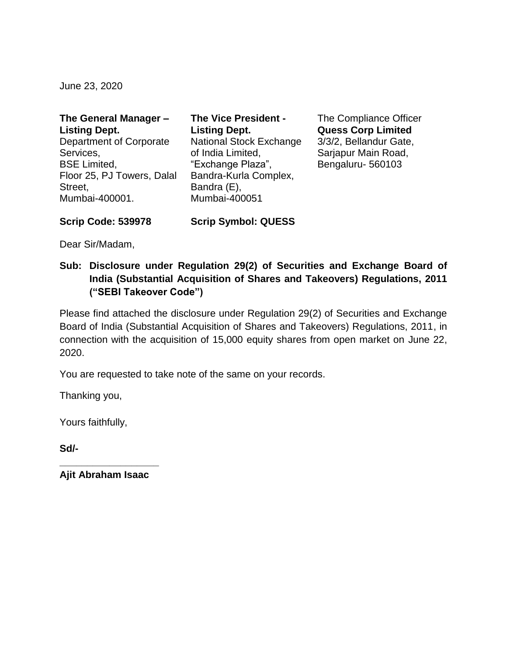June 23, 2020

| The General Manager -      | <b>The Vice President -</b>    |
|----------------------------|--------------------------------|
| <b>Listing Dept.</b>       | <b>Listing Dept.</b>           |
| Department of Corporate    | <b>National Stock Exchange</b> |
| Services,                  | of India Limited,              |
| <b>BSE Limited,</b>        | "Exchange Plaza",              |
| Floor 25, PJ Towers, Dalal | Bandra-Kurla Complex,          |
| Street,                    | Bandra (E),                    |
| Mumbai-400001.             | Mumbai-400051                  |

The Compliance Officer **Quess Corp Limited** 3/3/2, Bellandur Gate, Sarjapur Main Road, Bengaluru- 560103

**Scrip Code: 539978 Scrip Symbol: QUESS**

Dear Sir/Madam,

**Sub: Disclosure under Regulation 29(2) of Securities and Exchange Board of India (Substantial Acquisition of Shares and Takeovers) Regulations, 2011 ("SEBI Takeover Code")**

Please find attached the disclosure under Regulation 29(2) of Securities and Exchange Board of India (Substantial Acquisition of Shares and Takeovers) Regulations, 2011, in connection with the acquisition of 15,000 equity shares from open market on June 22, 2020.

You are requested to take note of the same on your records.

Thanking you,

Yours faithfully,

**Sd/-**

**\_\_\_\_\_\_\_\_\_\_\_\_\_\_\_\_\_\_ Ajit Abraham Isaac**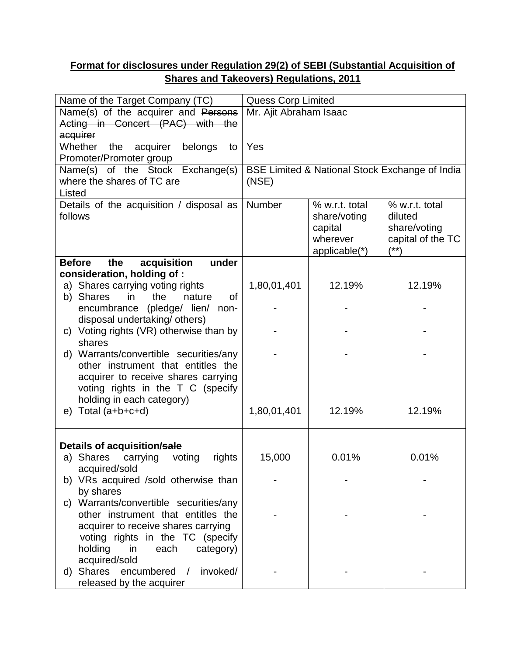## **Format for disclosures under Regulation 29(2) of SEBI (Substantial Acquisition of Shares and Takeovers) Regulations, 2011**

| Name of the Target Company (TC)                                             |                                                | <b>Quess Corp Limited</b> |                   |  |
|-----------------------------------------------------------------------------|------------------------------------------------|---------------------------|-------------------|--|
| Name(s) of the acquirer and Persons                                         | Mr. Ajit Abraham Isaac                         |                           |                   |  |
| Acting in Concert (PAC) with the                                            |                                                |                           |                   |  |
| acquirer                                                                    |                                                |                           |                   |  |
| Whether<br>the<br>acquirer<br>belongs<br>to                                 | Yes                                            |                           |                   |  |
| Promoter/Promoter group                                                     |                                                |                           |                   |  |
| Name(s) of the Stock Exchange(s)                                            | BSE Limited & National Stock Exchange of India |                           |                   |  |
| where the shares of TC are                                                  | (NSE)                                          |                           |                   |  |
| Listed                                                                      |                                                |                           |                   |  |
| Details of the acquisition / disposal as                                    | Number                                         | % w.r.t. total            | % w.r.t. total    |  |
| follows                                                                     |                                                | share/voting              | diluted           |  |
|                                                                             |                                                | capital                   | share/voting      |  |
|                                                                             |                                                | wherever                  | capital of the TC |  |
|                                                                             |                                                | applicable(*)             | $(***)$           |  |
| acquisition<br>under<br><b>Before</b><br>the                                |                                                |                           |                   |  |
| consideration, holding of:                                                  | 1,80,01,401                                    | 12.19%                    | 12.19%            |  |
| a) Shares carrying voting rights<br>of<br>b) Shares<br>the<br>nature<br>in. |                                                |                           |                   |  |
| encumbrance (pledge/ lien/ non-                                             |                                                |                           |                   |  |
| disposal undertaking/ others)                                               |                                                |                           |                   |  |
| c) Voting rights (VR) otherwise than by                                     |                                                |                           |                   |  |
| shares                                                                      |                                                |                           |                   |  |
| d) Warrants/convertible securities/any                                      |                                                |                           |                   |  |
| other instrument that entitles the                                          |                                                |                           |                   |  |
| acquirer to receive shares carrying                                         |                                                |                           |                   |  |
| voting rights in the T C (specify                                           |                                                |                           |                   |  |
| holding in each category)                                                   |                                                |                           |                   |  |
| Total (a+b+c+d)<br>e)                                                       | 1,80,01,401                                    | 12.19%                    | 12.19%            |  |
|                                                                             |                                                |                           |                   |  |
|                                                                             |                                                |                           |                   |  |
| Details of acquisition/sale                                                 |                                                |                           |                   |  |
| a) Shares<br>carrying<br>voting<br>rights                                   | 15,000                                         | 0.01%                     | 0.01%             |  |
| acquired/sold                                                               |                                                |                           |                   |  |
| b) VRs acquired /sold otherwise than                                        |                                                |                           |                   |  |
| by shares                                                                   |                                                |                           |                   |  |
| Warrants/convertible securities/any<br>C)                                   |                                                |                           |                   |  |
| other instrument that entitles the                                          |                                                |                           |                   |  |
| acquirer to receive shares carrying                                         |                                                |                           |                   |  |
| voting rights in the TC (specify                                            |                                                |                           |                   |  |
| holding<br>in<br>each<br>category)                                          |                                                |                           |                   |  |
| acquired/sold<br>Shares                                                     |                                                |                           |                   |  |
| encumbered<br>invoked/<br>$\sqrt{2}$<br>d)                                  |                                                |                           |                   |  |
| released by the acquirer                                                    |                                                |                           |                   |  |